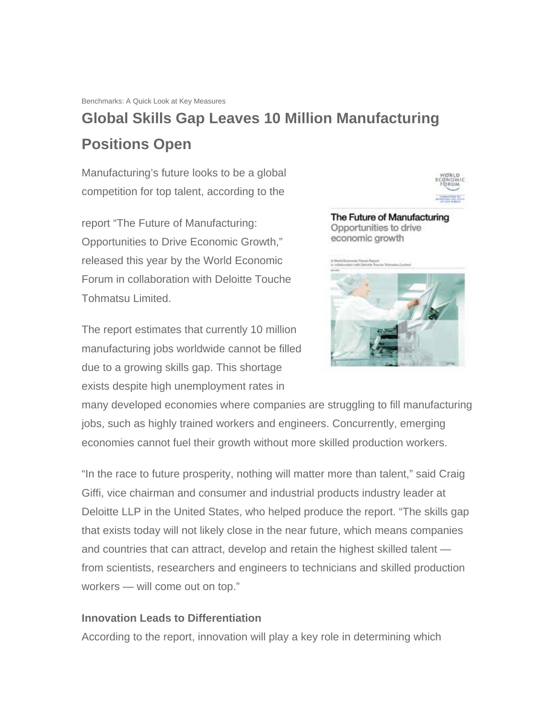## **Global Skills Gap Leaves 10 Million Manufacturing Positions Open**

Manufacturing's future looks to be a global competition for top talent, according to the

report "The Future of Manufacturing: Opportunities to Drive Economic Growth," released this year by the World Economic Forum in collaboration with Deloitte Touche Tohmatsu Limited.

The report estimates that currently 10 million manufacturing jobs worldwide cannot be filled due to a growing skills gap. This shortage exists despite high unemployment rates in



The Future of Manufacturing Opportunities to drive economic growth



many developed economies where companies are struggling to fill manufacturing jobs, such as highly trained workers and engineers. Concurrently, emerging economies cannot fuel their growth without more skilled production workers.

"In the race to future prosperity, nothing will matter more than talent," said Craig Giffi, vice chairman and consumer and industrial products industry leader at Deloitte LLP in the United States, who helped produce the report. "The skills gap that exists today will not likely close in the near future, which means companies and countries that can attract, develop and retain the highest skilled talent from scientists, researchers and engineers to technicians and skilled production workers — will come out on top."

## **Innovation Leads to Differentiation**

According to the report, innovation will play a key role in determining which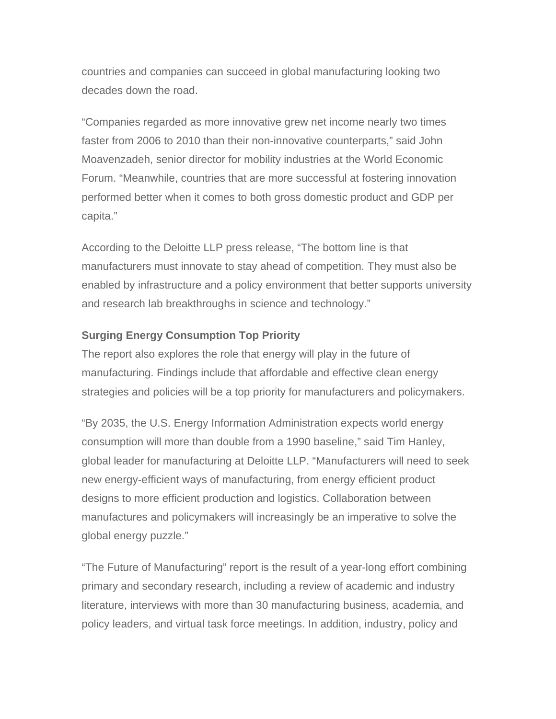countries and companies can succeed in global manufacturing looking two decades down the road.

"Companies regarded as more innovative grew net income nearly two times faster from 2006 to 2010 than their non-innovative counterparts," said John Moavenzadeh, senior director for mobility industries at the World Economic Forum. "Meanwhile, countries that are more successful at fostering innovation performed better when it comes to both gross domestic product and GDP per capita."

According to the Deloitte LLP press release, "The bottom line is that manufacturers must innovate to stay ahead of competition. They must also be enabled by infrastructure and a policy environment that better supports university and research lab breakthroughs in science and technology."

## **Surging Energy Consumption Top Priority**

The report also explores the role that energy will play in the future of manufacturing. Findings include that affordable and effective clean energy strategies and policies will be a top priority for manufacturers and policymakers.

"By 2035, the U.S. Energy Information Administration expects world energy consumption will more than double from a 1990 baseline," said Tim Hanley, global leader for manufacturing at Deloitte LLP. "Manufacturers will need to seek new energy-efficient ways of manufacturing, from energy efficient product designs to more efficient production and logistics. Collaboration between manufactures and policymakers will increasingly be an imperative to solve the global energy puzzle."

"The Future of Manufacturing" report is the result of a year-long effort combining primary and secondary research, including a review of academic and industry literature, interviews with more than 30 manufacturing business, academia, and policy leaders, and virtual task force meetings. In addition, industry, policy and